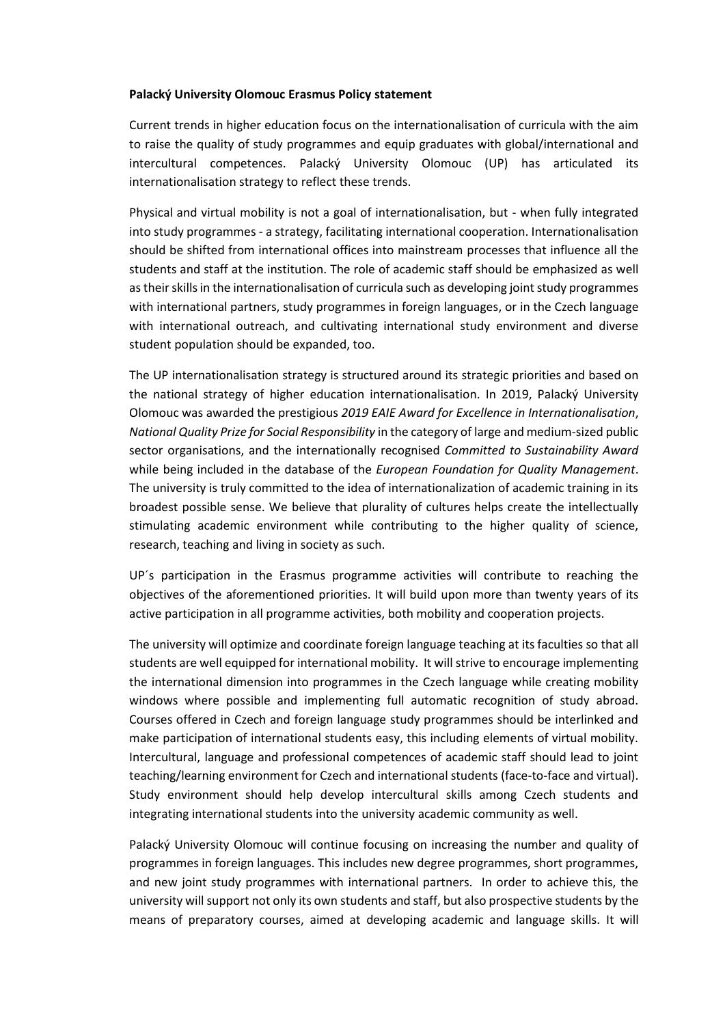## **Palacký University Olomouc Erasmus Policy statement**

Current trends in higher education focus on the internationalisation of curricula with the aim to raise the quality of study programmes and equip graduates with global/international and intercultural competences. Palacký University Olomouc (UP) has articulated its internationalisation strategy to reflect these trends.

Physical and virtual mobility is not a goal of internationalisation, but - when fully integrated into study programmes - a strategy, facilitating international cooperation. Internationalisation should be shifted from international offices into mainstream processes that influence all the students and staff at the institution. The role of academic staff should be emphasized as well as their skills in the internationalisation of curricula such as developing joint study programmes with international partners, study programmes in foreign languages, or in the Czech language with international outreach, and cultivating international study environment and diverse student population should be expanded, too.

The UP internationalisation strategy is structured around its strategic priorities and based on the national strategy of higher education internationalisation. In 2019, Palacký University Olomouc was awarded the prestigious *2019 EAIE Award for Excellence in Internationalisation*, *National Quality Prize for Social Responsibility* in the category of large and medium-sized public sector organisations, and the internationally recognised *Committed to Sustainability Award* while being included in the database of the *European Foundation for Quality Management*. The university is truly committed to the idea of internationalization of academic training in its broadest possible sense. We believe that plurality of cultures helps create the intellectually stimulating academic environment while contributing to the higher quality of science, research, teaching and living in society as such.

UP´s participation in the Erasmus programme activities will contribute to reaching the objectives of the aforementioned priorities. It will build upon more than twenty years of its active participation in all programme activities, both mobility and cooperation projects.

The university will optimize and coordinate foreign language teaching at its faculties so that all students are well equipped for international mobility. It will strive to encourage implementing the international dimension into programmes in the Czech language while creating mobility windows where possible and implementing full automatic recognition of study abroad. Courses offered in Czech and foreign language study programmes should be interlinked and make participation of international students easy, this including elements of virtual mobility. Intercultural, language and professional competences of academic staff should lead to joint teaching/learning environment for Czech and international students (face-to-face and virtual). Study environment should help develop intercultural skills among Czech students and integrating international students into the university academic community as well.

Palacký University Olomouc will continue focusing on increasing the number and quality of programmes in foreign languages. This includes new degree programmes, short programmes, and new joint study programmes with international partners. In order to achieve this, the university will support not only its own students and staff, but also prospective students by the means of preparatory courses, aimed at developing academic and language skills. It will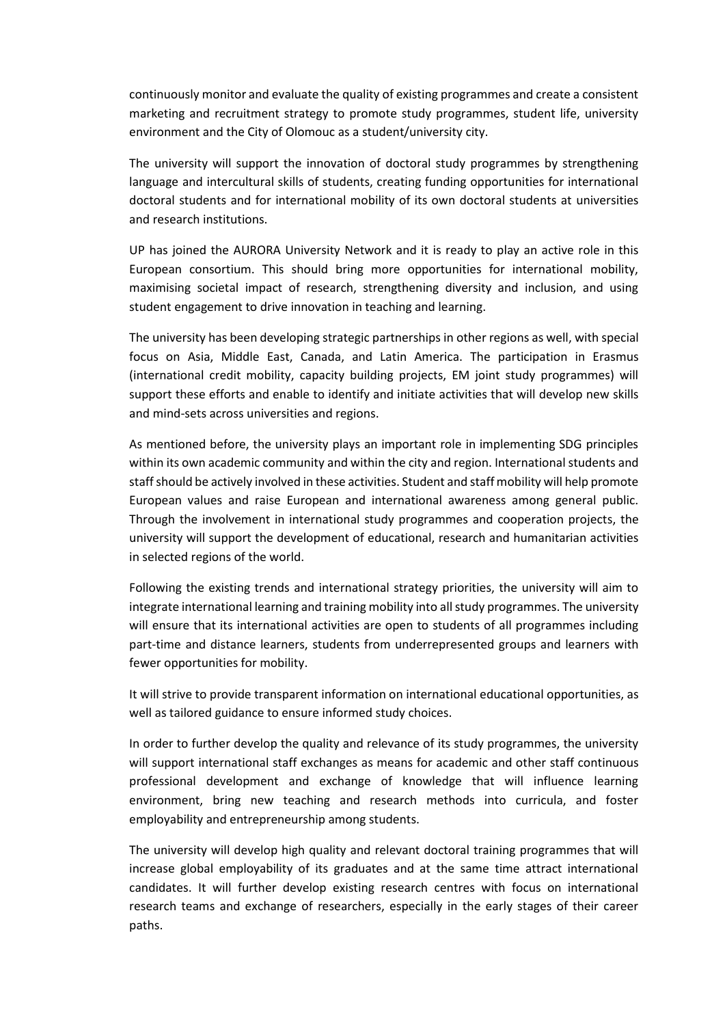continuously monitor and evaluate the quality of existing programmes and create a consistent marketing and recruitment strategy to promote study programmes, student life, university environment and the City of Olomouc as a student/university city.

The university will support the innovation of doctoral study programmes by strengthening language and intercultural skills of students, creating funding opportunities for international doctoral students and for international mobility of its own doctoral students at universities and research institutions.

UP has joined the AURORA University Network and it is ready to play an active role in this European consortium. This should bring more opportunities for international mobility, maximising societal impact of research, strengthening diversity and inclusion, and using student engagement to drive innovation in teaching and learning.

The university has been developing strategic partnerships in other regions as well, with special focus on Asia, Middle East, Canada, and Latin America. The participation in Erasmus (international credit mobility, capacity building projects, EM joint study programmes) will support these efforts and enable to identify and initiate activities that will develop new skills and mind-sets across universities and regions.

As mentioned before, the university plays an important role in implementing SDG principles within its own academic community and within the city and region. International students and staff should be actively involved in these activities. Student and staff mobility will help promote European values and raise European and international awareness among general public. Through the involvement in international study programmes and cooperation projects, the university will support the development of educational, research and humanitarian activities in selected regions of the world.

Following the existing trends and international strategy priorities, the university will aim to integrate international learning and training mobility into all study programmes. The university will ensure that its international activities are open to students of all programmes including part-time and distance learners, students from underrepresented groups and learners with fewer opportunities for mobility.

It will strive to provide transparent information on international educational opportunities, as well as tailored guidance to ensure informed study choices.

In order to further develop the quality and relevance of its study programmes, the university will support international staff exchanges as means for academic and other staff continuous professional development and exchange of knowledge that will influence learning environment, bring new teaching and research methods into curricula, and foster employability and entrepreneurship among students.

The university will develop high quality and relevant doctoral training programmes that will increase global employability of its graduates and at the same time attract international candidates. It will further develop existing research centres with focus on international research teams and exchange of researchers, especially in the early stages of their career paths.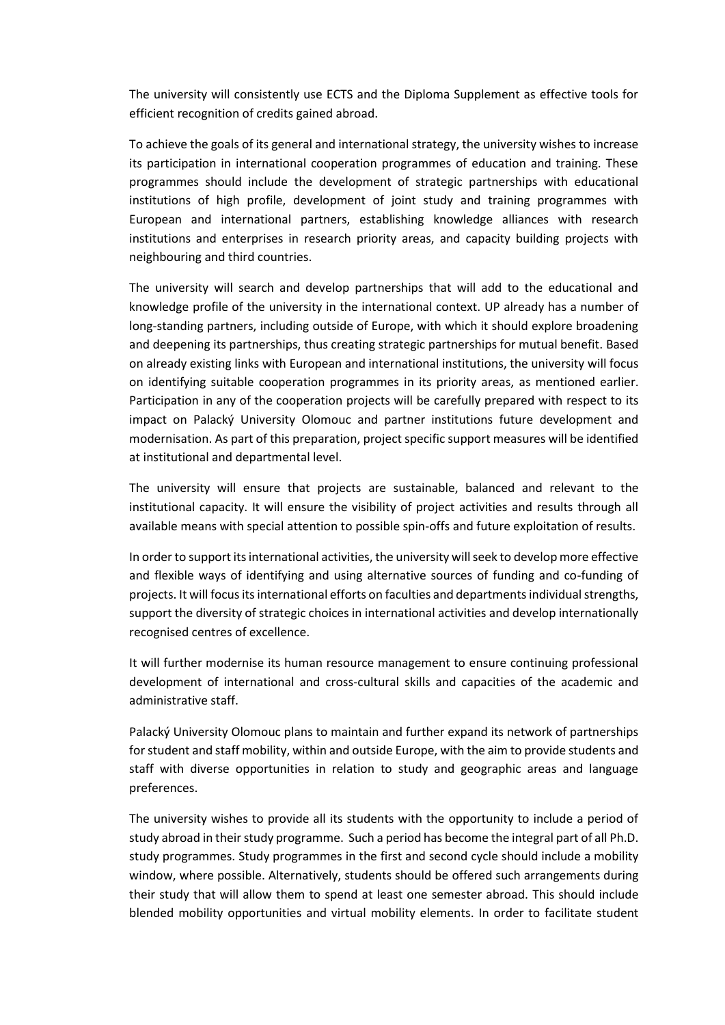The university will consistently use ECTS and the Diploma Supplement as effective tools for efficient recognition of credits gained abroad.

To achieve the goals of its general and international strategy, the university wishes to increase its participation in international cooperation programmes of education and training. These programmes should include the development of strategic partnerships with educational institutions of high profile, development of joint study and training programmes with European and international partners, establishing knowledge alliances with research institutions and enterprises in research priority areas, and capacity building projects with neighbouring and third countries.

The university will search and develop partnerships that will add to the educational and knowledge profile of the university in the international context. UP already has a number of long-standing partners, including outside of Europe, with which it should explore broadening and deepening its partnerships, thus creating strategic partnerships for mutual benefit. Based on already existing links with European and international institutions, the university will focus on identifying suitable cooperation programmes in its priority areas, as mentioned earlier. Participation in any of the cooperation projects will be carefully prepared with respect to its impact on Palacký University Olomouc and partner institutions future development and modernisation. As part of this preparation, project specific support measures will be identified at institutional and departmental level.

The university will ensure that projects are sustainable, balanced and relevant to the institutional capacity. It will ensure the visibility of project activities and results through all available means with special attention to possible spin-offs and future exploitation of results.

In order to support its international activities, the university will seek to develop more effective and flexible ways of identifying and using alternative sources of funding and co-funding of projects. It will focus its international efforts on faculties and departments individual strengths, support the diversity of strategic choices in international activities and develop internationally recognised centres of excellence.

It will further modernise its human resource management to ensure continuing professional development of international and cross-cultural skills and capacities of the academic and administrative staff.

Palacký University Olomouc plans to maintain and further expand its network of partnerships for student and staff mobility, within and outside Europe, with the aim to provide students and staff with diverse opportunities in relation to study and geographic areas and language preferences.

The university wishes to provide all its students with the opportunity to include a period of study abroad in their study programme. Such a period has become the integral part of all Ph.D. study programmes. Study programmes in the first and second cycle should include a mobility window, where possible. Alternatively, students should be offered such arrangements during their study that will allow them to spend at least one semester abroad. This should include blended mobility opportunities and virtual mobility elements. In order to facilitate student